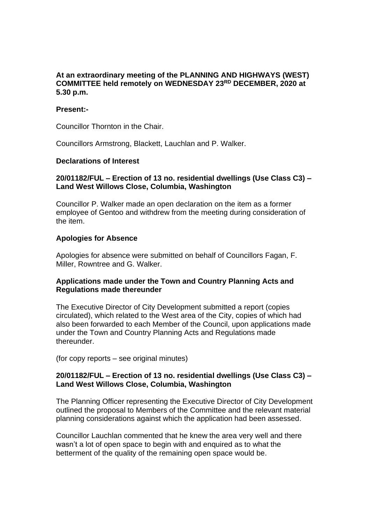# **At an extraordinary meeting of the PLANNING AND HIGHWAYS (WEST) COMMITTEE held remotely on WEDNESDAY 23RD DECEMBER, 2020 at 5.30 p.m.**

#### **Present:-**

Councillor Thornton in the Chair.

Councillors Armstrong, Blackett, Lauchlan and P. Walker.

### **Declarations of Interest**

# **20/01182/FUL – Erection of 13 no. residential dwellings (Use Class C3) – Land West Willows Close, Columbia, Washington**

Councillor P. Walker made an open declaration on the item as a former employee of Gentoo and withdrew from the meeting during consideration of the item.

#### **Apologies for Absence**

Apologies for absence were submitted on behalf of Councillors Fagan, F. Miller, Rowntree and G. Walker.

# **Applications made under the Town and Country Planning Acts and Regulations made thereunder**

The Executive Director of City Development submitted a report (copies circulated), which related to the West area of the City, copies of which had also been forwarded to each Member of the Council, upon applications made under the Town and Country Planning Acts and Regulations made thereunder.

(for copy reports – see original minutes)

#### **20/01182/FUL – Erection of 13 no. residential dwellings (Use Class C3) – Land West Willows Close, Columbia, Washington**

The Planning Officer representing the Executive Director of City Development outlined the proposal to Members of the Committee and the relevant material planning considerations against which the application had been assessed.

Councillor Lauchlan commented that he knew the area very well and there wasn't a lot of open space to begin with and enquired as to what the betterment of the quality of the remaining open space would be.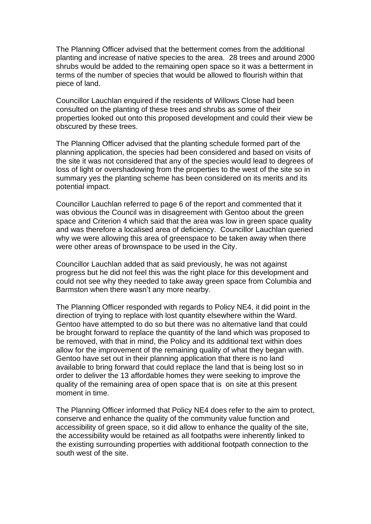The Planning Officer advised that the betterment comes from the additional planting and increase of native species to the area. 28 trees and around 2000 shrubs would be added to the remaining open space so it was a betterment in terms of the number of species that would be allowed to flourish within that piece of land.

Councillor Lauchlan enquired if the residents of Willows Close had been consulted on the planting of these trees and shrubs as some of their properties looked out onto this proposed development and could their view be obscured by these trees.

The Planning Officer advised that the planting schedule formed part of the planning application, the species had been considered and based on visits of the site it was not considered that any of the species would lead to degrees of loss of light or overshadowing from the properties to the west of the site so in summary yes the planting scheme has been considered on its merits and its potential impact.

Councillor Lauchlan referred to page 6 of the report and commented that it was obvious the Council was in disagreement with Gentoo about the green space and Criterion 4 which said that the area was low in green space quality and was therefore a localised area of deficiency. Councillor Lauchlan queried why we were allowing this area of greenspace to be taken away when there were other areas of brownspace to be used in the City.

Councillor Lauchlan added that as said previously, he was not against progress but he did not feel this was the right place for this development and could not see why they needed to take away green space from Columbia and Barmston when there wasn't any more nearby.

The Planning Officer responded with regards to Policy NE4, it did point in the direction of trying to replace with lost quantity elsewhere within the Ward. Gentoo have attempted to do so but there was no alternative land that could be brought forward to replace the quantity of the land which was proposed to be removed, with that in mind, the Policy and its additional text within does allow for the improvement of the remaining quality of what they began with. Gentoo have set out in their planning application that there is no land available to bring forward that could replace the land that is being lost so in order to deliver the 13 affordable homes they were seeking to improve the quality of the remaining area of open space that is on site at this present moment in time.

The Planning Officer informed that Policy NE4 does refer to the aim to protect, conserve and enhance the quality of the community value function and accessibility of green space, so it did allow to enhance the quality of the site, the accessibility would be retained as all footpaths were inherently linked to the existing surrounding properties with additional footpath connection to the south west of the site.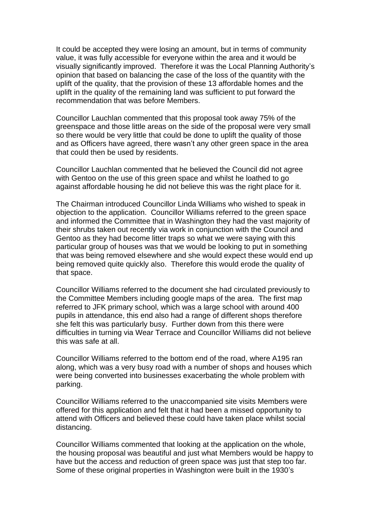It could be accepted they were losing an amount, but in terms of community value, it was fully accessible for everyone within the area and it would be visually significantly improved. Therefore it was the Local Planning Authority's opinion that based on balancing the case of the loss of the quantity with the uplift of the quality, that the provision of these 13 affordable homes and the uplift in the quality of the remaining land was sufficient to put forward the recommendation that was before Members.

Councillor Lauchlan commented that this proposal took away 75% of the greenspace and those little areas on the side of the proposal were very small so there would be very little that could be done to uplift the quality of those and as Officers have agreed, there wasn't any other green space in the area that could then be used by residents.

Councillor Lauchlan commented that he believed the Council did not agree with Gentoo on the use of this green space and whilst he loathed to go against affordable housing he did not believe this was the right place for it.

The Chairman introduced Councillor Linda Williams who wished to speak in objection to the application. Councillor Williams referred to the green space and informed the Committee that in Washington they had the vast majority of their shrubs taken out recently via work in conjunction with the Council and Gentoo as they had become litter traps so what we were saying with this particular group of houses was that we would be looking to put in something that was being removed elsewhere and she would expect these would end up being removed quite quickly also. Therefore this would erode the quality of that space.

Councillor Williams referred to the document she had circulated previously to the Committee Members including google maps of the area. The first map referred to JFK primary school, which was a large school with around 400 pupils in attendance, this end also had a range of different shops therefore she felt this was particularly busy. Further down from this there were difficulties in turning via Wear Terrace and Councillor Williams did not believe this was safe at all.

Councillor Williams referred to the bottom end of the road, where A195 ran along, which was a very busy road with a number of shops and houses which were being converted into businesses exacerbating the whole problem with parking.

Councillor Williams referred to the unaccompanied site visits Members were offered for this application and felt that it had been a missed opportunity to attend with Officers and believed these could have taken place whilst social distancing.

Councillor Williams commented that looking at the application on the whole, the housing proposal was beautiful and just what Members would be happy to have but the access and reduction of green space was just that step too far. Some of these original properties in Washington were built in the 1930's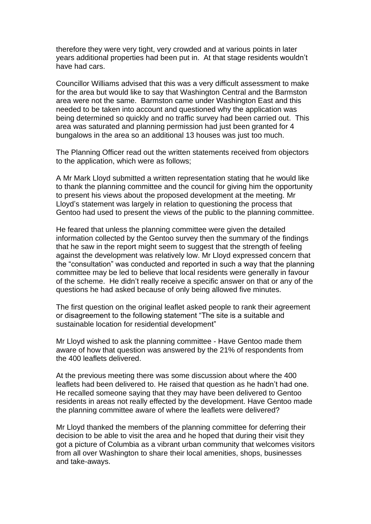therefore they were very tight, very crowded and at various points in later years additional properties had been put in. At that stage residents wouldn't have had cars.

Councillor Williams advised that this was a very difficult assessment to make for the area but would like to say that Washington Central and the Barmston area were not the same. Barmston came under Washington East and this needed to be taken into account and questioned why the application was being determined so quickly and no traffic survey had been carried out. This area was saturated and planning permission had just been granted for 4 bungalows in the area so an additional 13 houses was just too much.

The Planning Officer read out the written statements received from objectors to the application, which were as follows;

A Mr Mark Lloyd submitted a written representation stating that he would like to thank the planning committee and the council for giving him the opportunity to present his views about the proposed development at the meeting. Mr Lloyd's statement was largely in relation to questioning the process that Gentoo had used to present the views of the public to the planning committee.

He feared that unless the planning committee were given the detailed information collected by the Gentoo survey then the summary of the findings that he saw in the report might seem to suggest that the strength of feeling against the development was relatively low. Mr Lloyd expressed concern that the "consultation" was conducted and reported in such a way that the planning committee may be led to believe that local residents were generally in favour of the scheme. He didn't really receive a specific answer on that or any of the questions he had asked because of only being allowed five minutes.

The first question on the original leaflet asked people to rank their agreement or disagreement to the following statement "The site is a suitable and sustainable location for residential development"

Mr Lloyd wished to ask the planning committee - Have Gentoo made them aware of how that question was answered by the 21% of respondents from the 400 leaflets delivered.

At the previous meeting there was some discussion about where the 400 leaflets had been delivered to. He raised that question as he hadn't had one. He recalled someone saying that they may have been delivered to Gentoo residents in areas not really effected by the development. Have Gentoo made the planning committee aware of where the leaflets were delivered?

Mr Lloyd thanked the members of the planning committee for deferring their decision to be able to visit the area and he hoped that during their visit they got a picture of Columbia as a vibrant urban community that welcomes visitors from all over Washington to share their local amenities, shops, businesses and take-aways.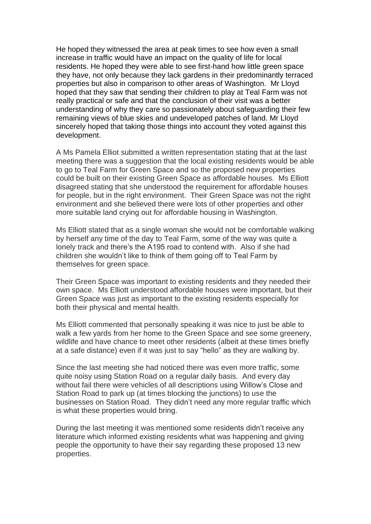He hoped they witnessed the area at peak times to see how even a small increase in traffic would have an impact on the quality of life for local residents. He hoped they were able to see first-hand how little green space they have, not only because they lack gardens in their predominantly terraced properties but also in comparison to other areas of Washington. Mr Lloyd hoped that they saw that sending their children to play at Teal Farm was not really practical or safe and that the conclusion of their visit was a better understanding of why they care so passionately about safeguarding their few remaining views of blue skies and undeveloped patches of land. Mr Lloyd sincerely hoped that taking those things into account they voted against this development.

A Ms Pamela Elliot submitted a written representation stating that at the last meeting there was a suggestion that the local existing residents would be able to go to Teal Farm for Green Space and so the proposed new properties could be built on their existing Green Space as affordable houses. Ms Elliott disagreed stating that she understood the requirement for affordable houses for people, but in the right environment. Their Green Space was not the right environment and she believed there were lots of other properties and other more suitable land crying out for affordable housing in Washington.

Ms Elliott stated that as a single woman she would not be comfortable walking by herself any time of the day to Teal Farm, some of the way was quite a lonely track and there's the A195 road to contend with. Also if she had children she wouldn't like to think of them going off to Teal Farm by themselves for green space.

Their Green Space was important to existing residents and they needed their own space. Ms Elliott understood affordable houses were important, but their Green Space was just as important to the existing residents especially for both their physical and mental health.

Ms Elliott commented that personally speaking it was nice to just be able to walk a few yards from her home to the Green Space and see some greenery, wildlife and have chance to meet other residents (albeit at these times briefly at a safe distance) even if it was just to say "hello" as they are walking by.

Since the last meeting she had noticed there was even more traffic, some quite noisy using Station Road on a regular daily basis. And every day without fail there were vehicles of all descriptions using Willow's Close and Station Road to park up (at times blocking the junctions) to use the businesses on Station Road. They didn't need any more regular traffic which is what these properties would bring.

During the last meeting it was mentioned some residents didn't receive any literature which informed existing residents what was happening and giving people the opportunity to have their say regarding these proposed 13 new properties.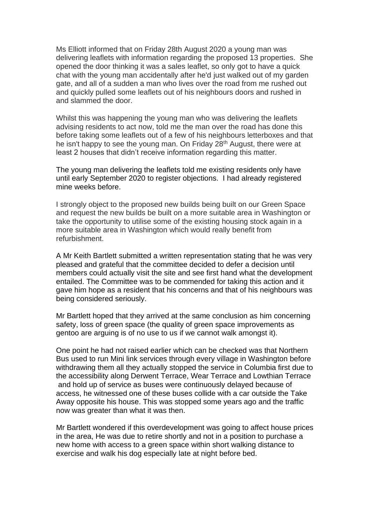Ms Elliott informed that on Friday 28th August 2020 a young man was delivering leaflets with information regarding the proposed 13 properties. She opened the door thinking it was a sales leaflet, so only got to have a quick chat with the young man accidentally after he'd just walked out of my garden gate, and all of a sudden a man who lives over the road from me rushed out and quickly pulled some leaflets out of his neighbours doors and rushed in and slammed the door.

Whilst this was happening the young man who was delivering the leaflets advising residents to act now, told me the man over the road has done this before taking some leaflets out of a few of his neighbours letterboxes and that he isn't happy to see the young man. On Friday 28<sup>th</sup> August, there were at least 2 houses that didn't receive information regarding this matter.

The young man delivering the leaflets told me existing residents only have until early September 2020 to register objections. I had already registered mine weeks before.

I strongly object to the proposed new builds being built on our Green Space and request the new builds be built on a more suitable area in Washington or take the opportunity to utilise some of the existing housing stock again in a more suitable area in Washington which would really benefit from refurbishment.

A Mr Keith Bartlett submitted a written representation stating that he was very pleased and grateful that the committee decided to defer a decision until members could actually visit the site and see first hand what the development entailed. The Committee was to be commended for taking this action and it gave him hope as a resident that his concerns and that of his neighbours was being considered seriously.

Mr Bartlett hoped that they arrived at the same conclusion as him concerning safety, loss of green space (the quality of green space improvements as gentoo are arguing is of no use to us if we cannot walk amongst it).

One point he had not raised earlier which can be checked was that Northern Bus used to run Mini link services through every village in Washington before withdrawing them all they actually stopped the service in Columbia first due to the accessibility along Derwent Terrace, Wear Terrace and Lowthian Terrace and hold up of service as buses were continuously delayed because of access, he witnessed one of these buses collide with a car outside the Take Away opposite his house. This was stopped some years ago and the traffic now was greater than what it was then.

Mr Bartlett wondered if this overdevelopment was going to affect house prices in the area, He was due to retire shortly and not in a position to purchase a new home with access to a green space within short walking distance to exercise and walk his dog especially late at night before bed.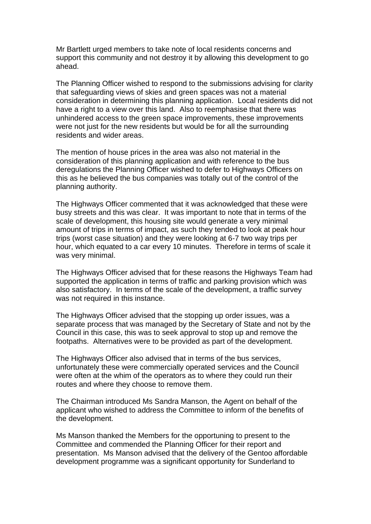Mr Bartlett urged members to take note of local residents concerns and support this community and not destroy it by allowing this development to go ahead.

The Planning Officer wished to respond to the submissions advising for clarity that safeguarding views of skies and green spaces was not a material consideration in determining this planning application. Local residents did not have a right to a view over this land. Also to reemphasise that there was unhindered access to the green space improvements, these improvements were not just for the new residents but would be for all the surrounding residents and wider areas.

The mention of house prices in the area was also not material in the consideration of this planning application and with reference to the bus deregulations the Planning Officer wished to defer to Highways Officers on this as he believed the bus companies was totally out of the control of the planning authority.

The Highways Officer commented that it was acknowledged that these were busy streets and this was clear. It was important to note that in terms of the scale of development, this housing site would generate a very minimal amount of trips in terms of impact, as such they tended to look at peak hour trips (worst case situation) and they were looking at 6-7 two way trips per hour, which equated to a car every 10 minutes. Therefore in terms of scale it was very minimal.

The Highways Officer advised that for these reasons the Highways Team had supported the application in terms of traffic and parking provision which was also satisfactory. In terms of the scale of the development, a traffic survey was not required in this instance.

The Highways Officer advised that the stopping up order issues, was a separate process that was managed by the Secretary of State and not by the Council in this case, this was to seek approval to stop up and remove the footpaths. Alternatives were to be provided as part of the development.

The Highways Officer also advised that in terms of the bus services, unfortunately these were commercially operated services and the Council were often at the whim of the operators as to where they could run their routes and where they choose to remove them.

The Chairman introduced Ms Sandra Manson, the Agent on behalf of the applicant who wished to address the Committee to inform of the benefits of the development.

Ms Manson thanked the Members for the opportuning to present to the Committee and commended the Planning Officer for their report and presentation. Ms Manson advised that the delivery of the Gentoo affordable development programme was a significant opportunity for Sunderland to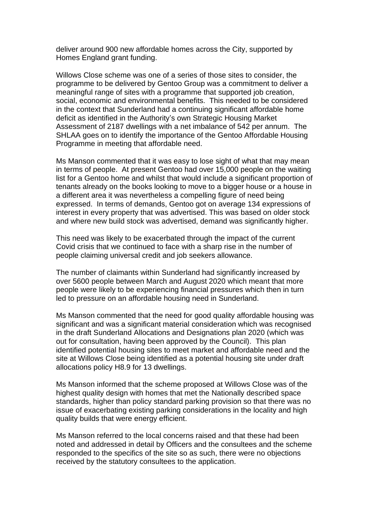deliver around 900 new affordable homes across the City, supported by Homes England grant funding.

Willows Close scheme was one of a series of those sites to consider, the programme to be delivered by Gentoo Group was a commitment to deliver a meaningful range of sites with a programme that supported job creation, social, economic and environmental benefits. This needed to be considered in the context that Sunderland had a continuing significant affordable home deficit as identified in the Authority's own Strategic Housing Market Assessment of 2187 dwellings with a net imbalance of 542 per annum. The SHLAA goes on to identify the importance of the Gentoo Affordable Housing Programme in meeting that affordable need.

Ms Manson commented that it was easy to lose sight of what that may mean in terms of people. At present Gentoo had over 15,000 people on the waiting list for a Gentoo home and whilst that would include a significant proportion of tenants already on the books looking to move to a bigger house or a house in a different area it was nevertheless a compelling figure of need being expressed. In terms of demands, Gentoo got on average 134 expressions of interest in every property that was advertised. This was based on older stock and where new build stock was advertised, demand was significantly higher.

This need was likely to be exacerbated through the impact of the current Covid crisis that we continued to face with a sharp rise in the number of people claiming universal credit and job seekers allowance.

The number of claimants within Sunderland had significantly increased by over 5600 people between March and August 2020 which meant that more people were likely to be experiencing financial pressures which then in turn led to pressure on an affordable housing need in Sunderland.

Ms Manson commented that the need for good quality affordable housing was significant and was a significant material consideration which was recognised in the draft Sunderland Allocations and Designations plan 2020 (which was out for consultation, having been approved by the Council). This plan identified potential housing sites to meet market and affordable need and the site at Willows Close being identified as a potential housing site under draft allocations policy H8.9 for 13 dwellings.

Ms Manson informed that the scheme proposed at Willows Close was of the highest quality design with homes that met the Nationally described space standards, higher than policy standard parking provision so that there was no issue of exacerbating existing parking considerations in the locality and high quality builds that were energy efficient.

Ms Manson referred to the local concerns raised and that these had been noted and addressed in detail by Officers and the consultees and the scheme responded to the specifics of the site so as such, there were no objections received by the statutory consultees to the application.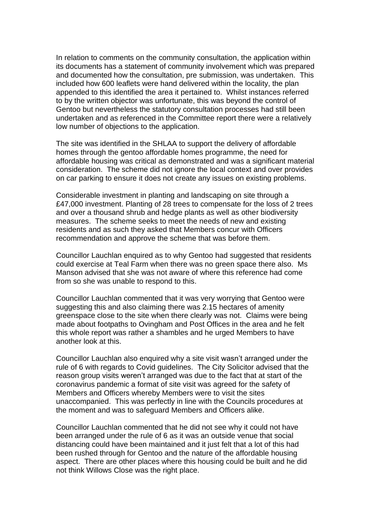In relation to comments on the community consultation, the application within its documents has a statement of community involvement which was prepared and documented how the consultation, pre submission, was undertaken. This included how 600 leaflets were hand delivered within the locality, the plan appended to this identified the area it pertained to. Whilst instances referred to by the written objector was unfortunate, this was beyond the control of Gentoo but nevertheless the statutory consultation processes had still been undertaken and as referenced in the Committee report there were a relatively low number of objections to the application.

The site was identified in the SHLAA to support the delivery of affordable homes through the gentoo affordable homes programme, the need for affordable housing was critical as demonstrated and was a significant material consideration. The scheme did not ignore the local context and over provides on car parking to ensure it does not create any issues on existing problems.

Considerable investment in planting and landscaping on site through a £47,000 investment. Planting of 28 trees to compensate for the loss of 2 trees and over a thousand shrub and hedge plants as well as other biodiversity measures. The scheme seeks to meet the needs of new and existing residents and as such they asked that Members concur with Officers recommendation and approve the scheme that was before them.

Councillor Lauchlan enquired as to why Gentoo had suggested that residents could exercise at Teal Farm when there was no green space there also. Ms Manson advised that she was not aware of where this reference had come from so she was unable to respond to this.

Councillor Lauchlan commented that it was very worrying that Gentoo were suggesting this and also claiming there was 2.15 hectares of amenity greenspace close to the site when there clearly was not. Claims were being made about footpaths to Ovingham and Post Offices in the area and he felt this whole report was rather a shambles and he urged Members to have another look at this.

Councillor Lauchlan also enquired why a site visit wasn't arranged under the rule of 6 with regards to Covid guidelines. The City Solicitor advised that the reason group visits weren't arranged was due to the fact that at start of the coronavirus pandemic a format of site visit was agreed for the safety of Members and Officers whereby Members were to visit the sites unaccompanied. This was perfectly in line with the Councils procedures at the moment and was to safeguard Members and Officers alike.

Councillor Lauchlan commented that he did not see why it could not have been arranged under the rule of 6 as it was an outside venue that social distancing could have been maintained and it just felt that a lot of this had been rushed through for Gentoo and the nature of the affordable housing aspect. There are other places where this housing could be built and he did not think Willows Close was the right place.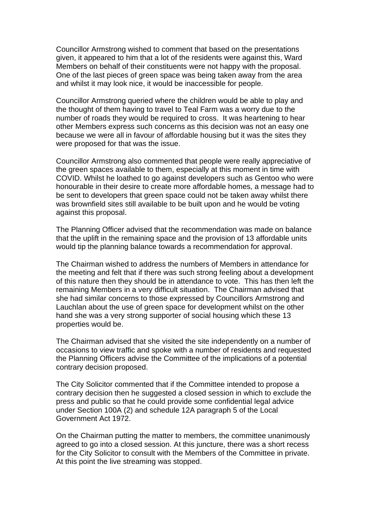Councillor Armstrong wished to comment that based on the presentations given, it appeared to him that a lot of the residents were against this, Ward Members on behalf of their constituents were not happy with the proposal. One of the last pieces of green space was being taken away from the area and whilst it may look nice, it would be inaccessible for people.

Councillor Armstrong queried where the children would be able to play and the thought of them having to travel to Teal Farm was a worry due to the number of roads they would be required to cross. It was heartening to hear other Members express such concerns as this decision was not an easy one because we were all in favour of affordable housing but it was the sites they were proposed for that was the issue.

Councillor Armstrong also commented that people were really appreciative of the green spaces available to them, especially at this moment in time with COVID. Whilst he loathed to go against developers such as Gentoo who were honourable in their desire to create more affordable homes, a message had to be sent to developers that green space could not be taken away whilst there was brownfield sites still available to be built upon and he would be voting against this proposal.

The Planning Officer advised that the recommendation was made on balance that the uplift in the remaining space and the provision of 13 affordable units would tip the planning balance towards a recommendation for approval.

The Chairman wished to address the numbers of Members in attendance for the meeting and felt that if there was such strong feeling about a development of this nature then they should be in attendance to vote. This has then left the remaining Members in a very difficult situation. The Chairman advised that she had similar concerns to those expressed by Councillors Armstrong and Lauchlan about the use of green space for development whilst on the other hand she was a very strong supporter of social housing which these 13 properties would be.

The Chairman advised that she visited the site independently on a number of occasions to view traffic and spoke with a number of residents and requested the Planning Officers advise the Committee of the implications of a potential contrary decision proposed.

The City Solicitor commented that if the Committee intended to propose a contrary decision then he suggested a closed session in which to exclude the press and public so that he could provide some confidential legal advice under Section 100A (2) and schedule 12A paragraph 5 of the Local Government Act 1972.

On the Chairman putting the matter to members, the committee unanimously agreed to go into a closed session. At this juncture, there was a short recess for the City Solicitor to consult with the Members of the Committee in private. At this point the live streaming was stopped.